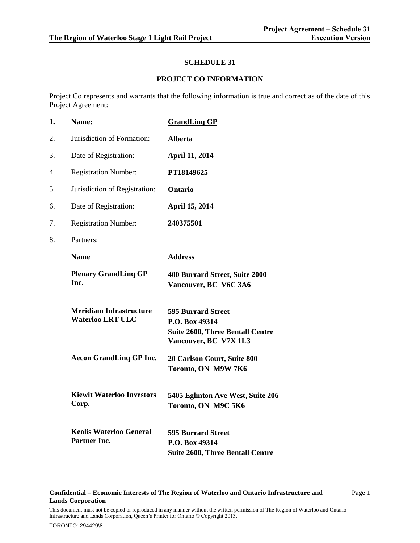## **SCHEDULE 31**

## **PROJECT CO INFORMATION**

Project Co represents and warrants that the following information is true and correct as of the date of this Project Agreement:

| 1. | Name:                                                     | <b>GrandLing GP</b>                                                                                             |
|----|-----------------------------------------------------------|-----------------------------------------------------------------------------------------------------------------|
| 2. | Jurisdiction of Formation:                                | <b>Alberta</b>                                                                                                  |
| 3. | Date of Registration:                                     | <b>April 11, 2014</b>                                                                                           |
| 4. | <b>Registration Number:</b>                               | PT18149625                                                                                                      |
| 5. | Jurisdiction of Registration:                             | Ontario                                                                                                         |
| 6. | Date of Registration:                                     | <b>April 15, 2014</b>                                                                                           |
| 7. | <b>Registration Number:</b>                               | 240375501                                                                                                       |
| 8. | Partners:                                                 |                                                                                                                 |
|    | <b>Name</b>                                               | <b>Address</b>                                                                                                  |
|    | <b>Plenary GrandLing GP</b><br>Inc.                       | 400 Burrard Street, Suite 2000<br>Vancouver, BC V6C 3A6                                                         |
|    | <b>Meridiam Infrastructure</b><br><b>Waterloo LRT ULC</b> | <b>595 Burrard Street</b><br>P.O. Box 49314<br><b>Suite 2600, Three Bentall Centre</b><br>Vancouver, BC V7X 1L3 |
|    | <b>Aecon GrandLing GP Inc.</b>                            | 20 Carlson Court, Suite 800<br>Toronto, ON M9W 7K6                                                              |
|    | <b>Kiewit Waterloo Investors</b><br>Corp.                 | 5405 Eglinton Ave West, Suite 206<br>Toronto, ON M9C 5K6                                                        |
|    | <b>Keolis Waterloo General</b><br>Partner Inc.            | <b>595 Burrard Street</b><br>P.O. Box 49314<br><b>Suite 2600, Three Bentall Centre</b>                          |

#### **Confidential – Economic Interests of The Region of Waterloo and Ontario Infrastructure and Lands Corporation**

Page 1

This document must not be copied or reproduced in any manner without the written permission of The Region of Waterloo and Ontario Infrastructure and Lands Corporation, Queen's Printer for Ontario © Copyright 2013.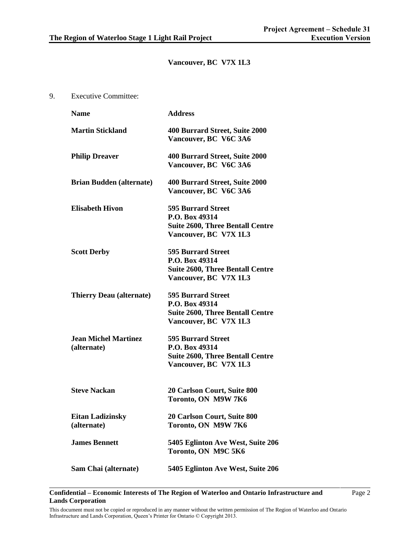## **Vancouver, BC V7X 1L3**

9. Executive Committee:

| <b>Name</b>                                | <b>Address</b>                                                                                                  |
|--------------------------------------------|-----------------------------------------------------------------------------------------------------------------|
| <b>Martin Stickland</b>                    | 400 Burrard Street, Suite 2000<br>Vancouver, BC V6C 3A6                                                         |
| <b>Philip Dreaver</b>                      | 400 Burrard Street, Suite 2000<br>Vancouver, BC V6C 3A6                                                         |
| <b>Brian Budden (alternate)</b>            | 400 Burrard Street, Suite 2000<br>Vancouver, BC V6C 3A6                                                         |
| <b>Elisabeth Hivon</b>                     | <b>595 Burrard Street</b><br>P.O. Box 49314<br><b>Suite 2600, Three Bentall Centre</b><br>Vancouver, BC V7X 1L3 |
| <b>Scott Derby</b>                         | <b>595 Burrard Street</b><br>P.O. Box 49314<br><b>Suite 2600, Three Bentall Centre</b><br>Vancouver, BC V7X 1L3 |
| <b>Thierry Deau (alternate)</b>            | <b>595 Burrard Street</b><br>P.O. Box 49314<br><b>Suite 2600, Three Bentall Centre</b><br>Vancouver, BC V7X 1L3 |
| <b>Jean Michel Martinez</b><br>(alternate) | <b>595 Burrard Street</b><br>P.O. Box 49314<br><b>Suite 2600, Three Bentall Centre</b><br>Vancouver, BC V7X 1L3 |
| <b>Steve Nackan</b>                        | <b>20 Carlson Court, Suite 800</b><br>Toronto, ON M9W 7K6                                                       |
| <b>Eitan Ladizinsky</b><br>(alternate)     | 20 Carlson Court, Suite 800<br>Toronto, ON M9W 7K6                                                              |
| <b>James Bennett</b>                       | 5405 Eglinton Ave West, Suite 206<br>Toronto, ON M9C 5K6                                                        |
| Sam Chai (alternate)                       | 5405 Eglinton Ave West, Suite 206                                                                               |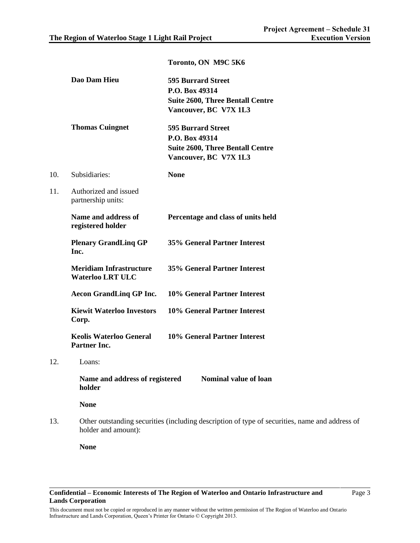|     | Dao Dam Hieu                                              | <b>595 Burrard Street</b><br>P.O. Box 49314<br><b>Suite 2600, Three Bentall Centre</b><br>Vancouver, BC V7X 1L3 |
|-----|-----------------------------------------------------------|-----------------------------------------------------------------------------------------------------------------|
|     | <b>Thomas Cuingnet</b>                                    | <b>595 Burrard Street</b><br>P.O. Box 49314<br><b>Suite 2600, Three Bentall Centre</b><br>Vancouver, BC V7X 1L3 |
| 10. | Subsidiaries:                                             | <b>None</b>                                                                                                     |
| 11. | Authorized and issued<br>partnership units:               |                                                                                                                 |
|     | Name and address of<br>registered holder                  | Percentage and class of units held                                                                              |
|     | <b>Plenary GrandLing GP</b><br>Inc.                       | <b>35% General Partner Interest</b>                                                                             |
|     | <b>Meridiam Infrastructure</b><br><b>Waterloo LRT ULC</b> | <b>35% General Partner Interest</b>                                                                             |
|     | <b>Aecon GrandLing GP Inc.</b>                            | 10% General Partner Interest                                                                                    |
|     | <b>Kiewit Waterloo Investors</b><br>Corp.                 | 10% General Partner Interest                                                                                    |
|     | <b>Keolis Waterloo General</b><br><b>Partner Inc.</b>     | 10% General Partner Interest                                                                                    |
| 12. | Loans:                                                    |                                                                                                                 |
|     | holder                                                    | Name and address of registered Nominal value of loan                                                            |
|     | <b>None</b>                                               |                                                                                                                 |
| 13. | holder and amount):                                       | Other outstanding securities (including description of type of securities, name and address of                  |

### **Toronto, ON M9C 5K6**

**None**

This document must not be copied or reproduced in any manner without the written permission of The Region of Waterloo and Ontario Infrastructure and Lands Corporation, Queen's Printer for Ontario © Copyright 2013.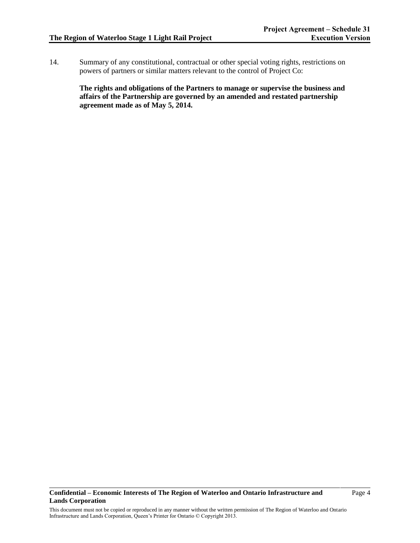14. Summary of any constitutional, contractual or other special voting rights, restrictions on powers of partners or similar matters relevant to the control of Project Co:

**The rights and obligations of the Partners to manage or supervise the business and affairs of the Partnership are governed by an amended and restated partnership agreement made as of May 5, 2014.**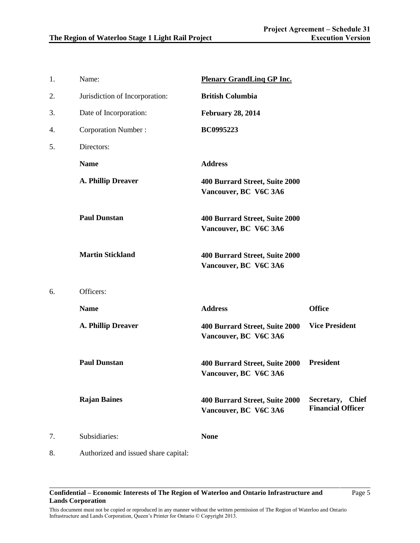Page 5

| 1. | Name:                                | <b>Plenary GrandLing GP Inc.</b>                        |                                              |
|----|--------------------------------------|---------------------------------------------------------|----------------------------------------------|
| 2. | Jurisdiction of Incorporation:       | <b>British Columbia</b>                                 |                                              |
| 3. | Date of Incorporation:               | <b>February 28, 2014</b>                                |                                              |
| 4. | <b>Corporation Number:</b>           | <b>BC0995223</b>                                        |                                              |
| 5. | Directors:                           |                                                         |                                              |
|    | <b>Name</b>                          | <b>Address</b>                                          |                                              |
|    | A. Phillip Dreaver                   | 400 Burrard Street, Suite 2000<br>Vancouver, BC V6C 3A6 |                                              |
|    | <b>Paul Dunstan</b>                  | 400 Burrard Street, Suite 2000<br>Vancouver, BC V6C 3A6 |                                              |
|    | <b>Martin Stickland</b>              | 400 Burrard Street, Suite 2000<br>Vancouver, BC V6C 3A6 |                                              |
| 6. | Officers:                            |                                                         |                                              |
|    | <b>Name</b>                          | <b>Address</b>                                          | <b>Office</b>                                |
|    | A. Phillip Dreaver                   | 400 Burrard Street, Suite 2000<br>Vancouver, BC V6C 3A6 | <b>Vice President</b>                        |
|    | <b>Paul Dunstan</b>                  | 400 Burrard Street, Suite 2000<br>Vancouver, BC V6C 3A6 | <b>President</b>                             |
|    | <b>Rajan Baines</b>                  | 400 Burrard Street, Suite 2000<br>Vancouver, BC V6C 3A6 | Secretary, Chief<br><b>Financial Officer</b> |
| 7. | Subsidiaries:                        | <b>None</b>                                             |                                              |
| 8. | Authorized and issued share capital: |                                                         |                                              |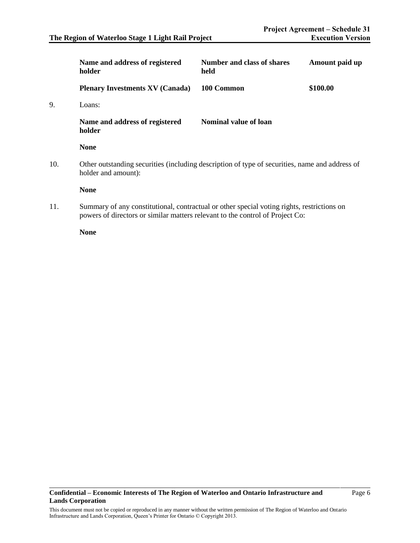|     | Name and address of registered<br>holder                                                                              | <b>Number and class of shares</b><br>held | Amount paid up |
|-----|-----------------------------------------------------------------------------------------------------------------------|-------------------------------------------|----------------|
|     | <b>Plenary Investments XV (Canada)</b>                                                                                | 100 Common                                | \$100.00       |
| 9.  | Loans:                                                                                                                |                                           |                |
|     | Name and address of registered<br>holder                                                                              | <b>Nominal value of loan</b>              |                |
|     | <b>None</b>                                                                                                           |                                           |                |
| 10. | Other outstanding securities (including description of type of securities, name and address of<br>holder and amount): |                                           |                |
|     | <b>None</b>                                                                                                           |                                           |                |
| 11. | Summary of any constitutional, contractual or other special voting rights, restrictions on                            |                                           |                |

powers of directors or similar matters relevant to the control of Project Co:

**None**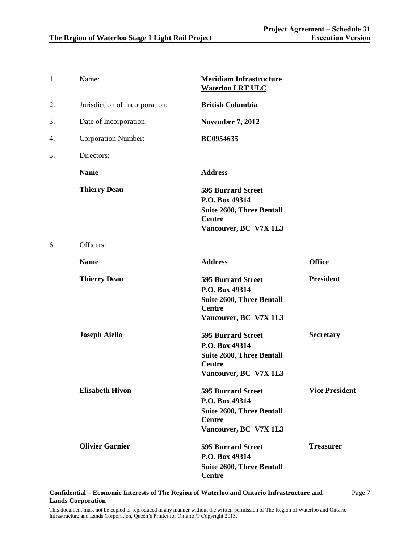| 1. | Name:                          | <b>Meridiam Infrastructure</b><br><b>Waterloo LRT ULC</b>                                                                 |                       |
|----|--------------------------------|---------------------------------------------------------------------------------------------------------------------------|-----------------------|
| 2. | Jurisdiction of Incorporation: | <b>British Columbia</b>                                                                                                   |                       |
| 3. | Date of Incorporation:         | <b>November 7, 2012</b>                                                                                                   |                       |
| 4. | <b>Corporation Number:</b>     | <b>BC0954635</b>                                                                                                          |                       |
| 5. | Directors:                     |                                                                                                                           |                       |
|    | <b>Name</b>                    | <b>Address</b>                                                                                                            |                       |
|    | <b>Thierry Deau</b>            | <b>595 Burrard Street</b><br>P.O. Box 49314<br><b>Suite 2600, Three Bentall</b><br><b>Centre</b><br>Vancouver, BC V7X 1L3 |                       |
| 6. | Officers:                      |                                                                                                                           |                       |
|    | <b>Name</b>                    | <b>Address</b>                                                                                                            | <b>Office</b>         |
|    | <b>Thierry Deau</b>            | <b>595 Burrard Street</b><br>P.O. Box 49314<br><b>Suite 2600, Three Bentall</b><br><b>Centre</b><br>Vancouver, BC V7X 1L3 | <b>President</b>      |
|    | <b>Joseph Aiello</b>           | <b>595 Burrard Street</b><br>P.O. Box 49314<br><b>Suite 2600, Three Bentall</b><br><b>Centre</b><br>Vancouver, BC V7X 1L3 | <b>Secretary</b>      |
|    | <b>Elisabeth Hivon</b>         | <b>595 Burrard Street</b><br>P.O. Box 49314<br><b>Suite 2600, Three Bentall</b><br><b>Centre</b><br>Vancouver, BC V7X 1L3 | <b>Vice President</b> |
|    | <b>Olivier Garnier</b>         | <b>595 Burrard Street</b><br>P.O. Box 49314<br><b>Suite 2600, Three Bentall</b><br><b>Centre</b>                          | <b>Treasurer</b>      |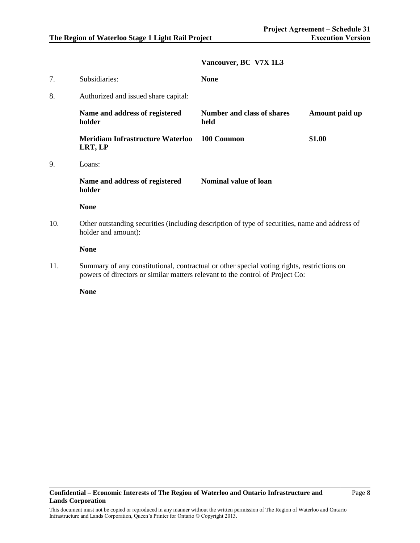## **Vancouver, BC V7X 1L3**

| 7.  | Subsidiaries:                                                                                                         | <b>None</b>                               |                |
|-----|-----------------------------------------------------------------------------------------------------------------------|-------------------------------------------|----------------|
| 8.  | Authorized and issued share capital:                                                                                  |                                           |                |
|     | Name and address of registered<br>holder                                                                              | <b>Number and class of shares</b><br>held | Amount paid up |
|     | <b>Meridiam Infrastructure Waterloo</b><br>LRT, LP                                                                    | 100 Common                                | \$1.00         |
| 9.  | Loans:                                                                                                                |                                           |                |
|     | Name and address of registered<br>holder                                                                              | <b>Nominal value of loan</b>              |                |
|     | <b>None</b>                                                                                                           |                                           |                |
| 10. | Other outstanding securities (including description of type of securities, name and address of<br>holder and amount): |                                           |                |
|     | <b>None</b>                                                                                                           |                                           |                |
| 11. | Summary of any constitutional, contractual or other special voting rights, restrictions on                            |                                           |                |

powers of directors or similar matters relevant to the control of Project Co:

**None**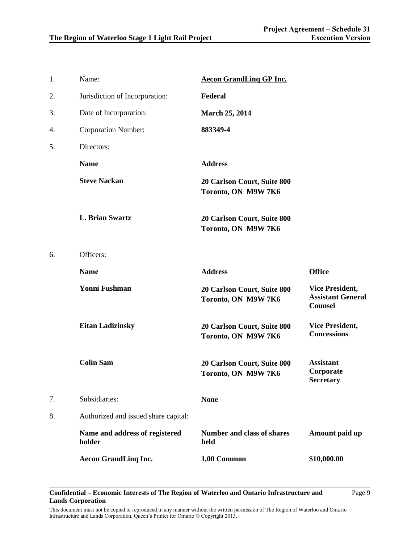| 1. | Name:                                    | <b>Aecon GrandLing GP Inc.</b>                     |                                                                      |
|----|------------------------------------------|----------------------------------------------------|----------------------------------------------------------------------|
| 2. | Jurisdiction of Incorporation:           | Federal                                            |                                                                      |
| 3. | Date of Incorporation:                   | <b>March 25, 2014</b>                              |                                                                      |
| 4. | <b>Corporation Number:</b>               | 883349-4                                           |                                                                      |
| 5. | Directors:                               |                                                    |                                                                      |
|    | <b>Name</b>                              | <b>Address</b>                                     |                                                                      |
|    | <b>Steve Nackan</b>                      | 20 Carlson Court, Suite 800<br>Toronto, ON M9W 7K6 |                                                                      |
|    | <b>L. Brian Swartz</b>                   | 20 Carlson Court, Suite 800<br>Toronto, ON M9W 7K6 |                                                                      |
| 6. | Officers:                                |                                                    |                                                                      |
|    | <b>Name</b>                              | <b>Address</b>                                     | <b>Office</b>                                                        |
|    | <b>Yonni Fushman</b>                     | 20 Carlson Court, Suite 800<br>Toronto, ON M9W 7K6 | <b>Vice President,</b><br><b>Assistant General</b><br><b>Counsel</b> |
|    | <b>Eitan Ladizinsky</b>                  | 20 Carlson Court, Suite 800<br>Toronto, ON M9W 7K6 | <b>Vice President,</b><br><b>Concessions</b>                         |
|    | <b>Colin Sam</b>                         | 20 Carlson Court, Suite 800<br>Toronto, ON M9W 7K6 | <b>Assistant</b><br>Corporate<br><b>Secretary</b>                    |
| 7. | Subsidiaries:                            | <b>None</b>                                        |                                                                      |
| 8. | Authorized and issued share capital:     |                                                    |                                                                      |
|    | Name and address of registered<br>holder | <b>Number and class of shares</b><br>held          | Amount paid up                                                       |
|    | <b>Aecon GrandLing Inc.</b>              | 1,00 Common                                        | \$10,000.00                                                          |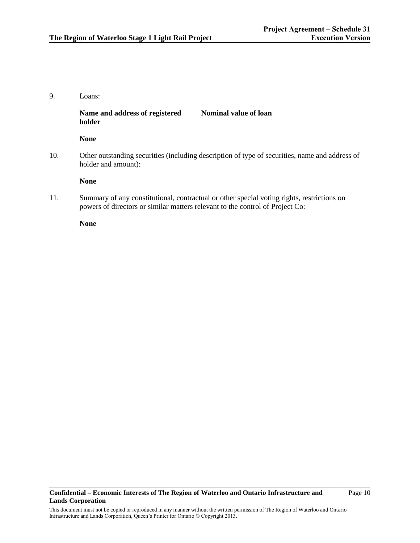# 9. Loans: **Name and address of registered holder None Nominal value of loan** 10. Other outstanding securities (including description of type of securities, name and address of holder and amount): **None**

11. Summary of any constitutional, contractual or other special voting rights, restrictions on powers of directors or similar matters relevant to the control of Project Co:

**None**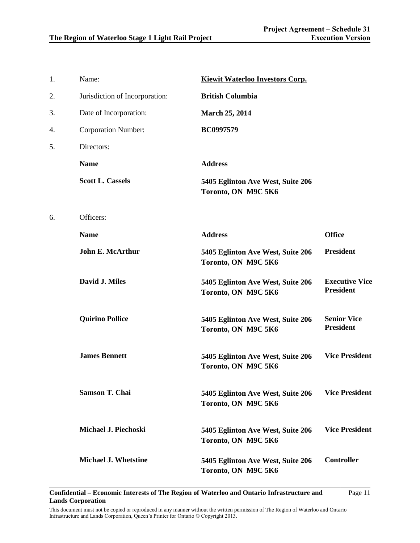| 1. | Name:                          | Kiewit Waterloo Investors Corp.                          |                                           |
|----|--------------------------------|----------------------------------------------------------|-------------------------------------------|
| 2. | Jurisdiction of Incorporation: | <b>British Columbia</b>                                  |                                           |
| 3. | Date of Incorporation:         | <b>March 25, 2014</b>                                    |                                           |
| 4. | <b>Corporation Number:</b>     | <b>BC0997579</b>                                         |                                           |
| 5. | Directors:                     |                                                          |                                           |
|    | <b>Name</b>                    | <b>Address</b>                                           |                                           |
|    | <b>Scott L. Cassels</b>        | 5405 Eglinton Ave West, Suite 206<br>Toronto, ON M9C 5K6 |                                           |
| 6. | Officers:                      |                                                          |                                           |
|    | <b>Name</b>                    | <b>Address</b>                                           | <b>Office</b>                             |
|    | <b>John E. McArthur</b>        | 5405 Eglinton Ave West, Suite 206<br>Toronto, ON M9C 5K6 | <b>President</b>                          |
|    | David J. Miles                 | 5405 Eglinton Ave West, Suite 206<br>Toronto, ON M9C 5K6 | <b>Executive Vice</b><br><b>President</b> |
|    | <b>Quirino Pollice</b>         | 5405 Eglinton Ave West, Suite 206<br>Toronto, ON M9C 5K6 | <b>Senior Vice</b><br><b>President</b>    |
|    | <b>James Bennett</b>           | 5405 Eglinton Ave West, Suite 206<br>Toronto, ON M9C 5K6 | <b>Vice President</b>                     |
|    | <b>Samson T. Chai</b>          | 5405 Eglinton Ave West, Suite 206<br>Toronto, ON M9C 5K6 | <b>Vice President</b>                     |
|    | Michael J. Piechoski           | 5405 Eglinton Ave West, Suite 206<br>Toronto, ON M9C 5K6 | <b>Vice President</b>                     |
|    | <b>Michael J. Whetstine</b>    | 5405 Eglinton Ave West, Suite 206<br>Toronto, ON M9C 5K6 | <b>Controller</b>                         |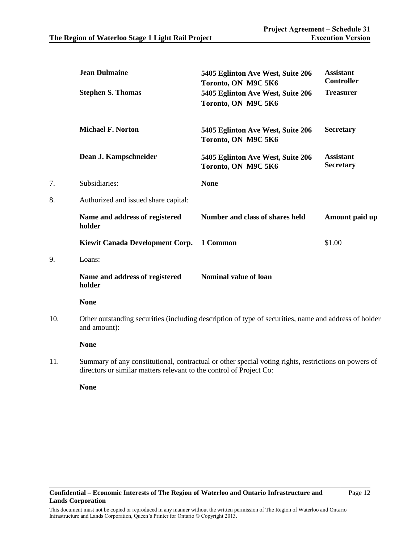|     | <b>Jean Dulmaine</b><br><b>Stephen S. Thomas</b>                                                   | 5405 Eglinton Ave West, Suite 206<br>Toronto, ON M9C 5K6<br>5405 Eglinton Ave West, Suite 206<br>Toronto, ON M9C 5K6 | <b>Assistant</b><br><b>Controller</b><br><b>Treasurer</b> |
|-----|----------------------------------------------------------------------------------------------------|----------------------------------------------------------------------------------------------------------------------|-----------------------------------------------------------|
|     | <b>Michael F. Norton</b>                                                                           | 5405 Eglinton Ave West, Suite 206<br>Toronto, ON M9C 5K6                                                             | <b>Secretary</b>                                          |
|     | Dean J. Kampschneider                                                                              | 5405 Eglinton Ave West, Suite 206<br>Toronto, ON M9C 5K6                                                             | <b>Assistant</b><br><b>Secretary</b>                      |
| 7.  | Subsidiaries:                                                                                      | <b>None</b>                                                                                                          |                                                           |
| 8.  | Authorized and issued share capital:                                                               |                                                                                                                      |                                                           |
|     | Name and address of registered<br>holder                                                           | Number and class of shares held                                                                                      | Amount paid up                                            |
|     | Kiewit Canada Development Corp.                                                                    | 1 Common                                                                                                             | \$1.00                                                    |
| 9.  | Loans:                                                                                             |                                                                                                                      |                                                           |
|     | Name and address of registered<br>holder                                                           | Nominal value of loan                                                                                                |                                                           |
|     | <b>None</b>                                                                                        |                                                                                                                      |                                                           |
| 10. | and amount):                                                                                       | Other outstanding securities (including description of type of securities, name and address of holder                |                                                           |
|     | <b>None</b>                                                                                        |                                                                                                                      |                                                           |
| 11. | ding at any sensitive mottons not expect to the senteed of Ducia at $\mathcal{O}_{\mathbb{R}^3}$ . | Summary of any constitutional, contractual or other special voting rights, restrictions on powers of                 |                                                           |

directors or similar matters relevant to the control of Project Co:

**None**

9. Loans: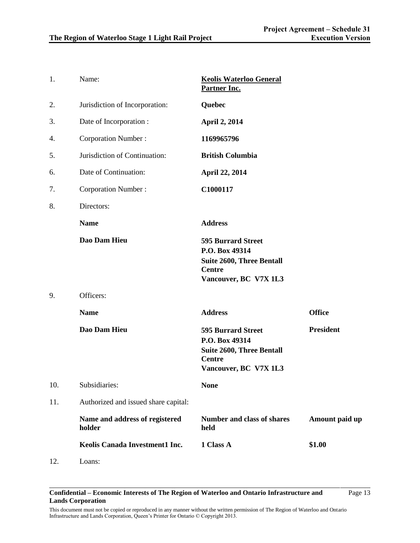Page 13

| 1.  | Name:                                    | <b>Keolis Waterloo General</b><br>Partner Inc.                                                                            |                  |
|-----|------------------------------------------|---------------------------------------------------------------------------------------------------------------------------|------------------|
| 2.  | Jurisdiction of Incorporation:           | Quebec                                                                                                                    |                  |
| 3.  | Date of Incorporation:                   | <b>April 2, 2014</b>                                                                                                      |                  |
| 4.  | <b>Corporation Number:</b>               | 1169965796                                                                                                                |                  |
| 5.  | Jurisdiction of Continuation:            | <b>British Columbia</b>                                                                                                   |                  |
| 6.  | Date of Continuation:                    | <b>April 22, 2014</b>                                                                                                     |                  |
| 7.  | <b>Corporation Number:</b>               | C1000117                                                                                                                  |                  |
| 8.  | Directors:                               |                                                                                                                           |                  |
|     | <b>Name</b>                              | <b>Address</b>                                                                                                            |                  |
|     | Dao Dam Hieu                             | <b>595 Burrard Street</b><br>P.O. Box 49314<br><b>Suite 2600, Three Bentall</b><br><b>Centre</b><br>Vancouver, BC V7X 1L3 |                  |
| 9.  | Officers:                                |                                                                                                                           |                  |
|     | <b>Name</b>                              | <b>Address</b>                                                                                                            | <b>Office</b>    |
|     | Dao Dam Hieu                             | <b>595 Burrard Street</b><br>P.O. Box 49314<br><b>Suite 2600, Three Bentall</b><br><b>Centre</b><br>Vancouver, BC V7X 1L3 | <b>President</b> |
| 10. | Subsidiaries:                            | <b>None</b>                                                                                                               |                  |
| 11. | Authorized and issued share capital:     |                                                                                                                           |                  |
|     | Name and address of registered<br>holder | <b>Number and class of shares</b><br>held                                                                                 | Amount paid up   |
|     | Keolis Canada Investment1 Inc.           | 1 Class A                                                                                                                 | \$1.00           |
| 12. | Loans:                                   |                                                                                                                           |                  |

#### **Confidential – Economic Interests of The Region of Waterloo and Ontario Infrastructure and Lands Corporation**

This document must not be copied or reproduced in any manner without the written permission of The Region of Waterloo and Ontario Infrastructure and Lands Corporation, Queen's Printer for Ontario © Copyright 2013.